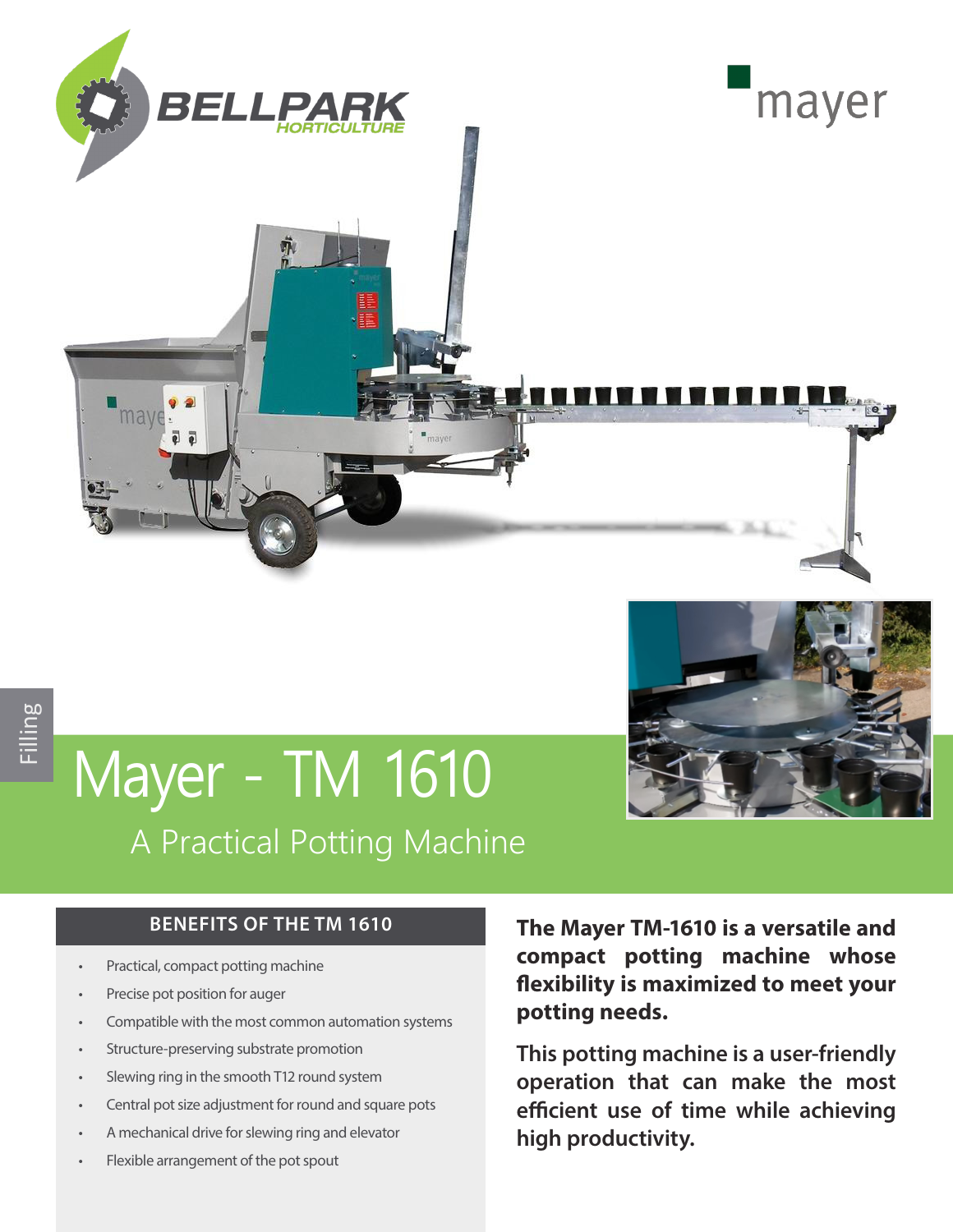

# Mayer - TM 1610 A Practical Potting Machine

#### **BENEFITS OF THE TM 1610**

- Practical, compact potting machine
- Precise pot position for auger
- Compatible with the most common automation systems
- Structure-preserving substrate promotion
- Slewing ring in the smooth T12 round system
- Central pot size adjustment for round and square pots
- A mechanical drive for slewing ring and elevator
- Flexible arrangement of the pot spout

**The Mayer TM-1610 is a versatile and compact potting machine whose flexibility is maximized to meet your potting needs.** 

**This potting machine is a user-friendly operation that can make the most efficient use of time while achieving high productivity.**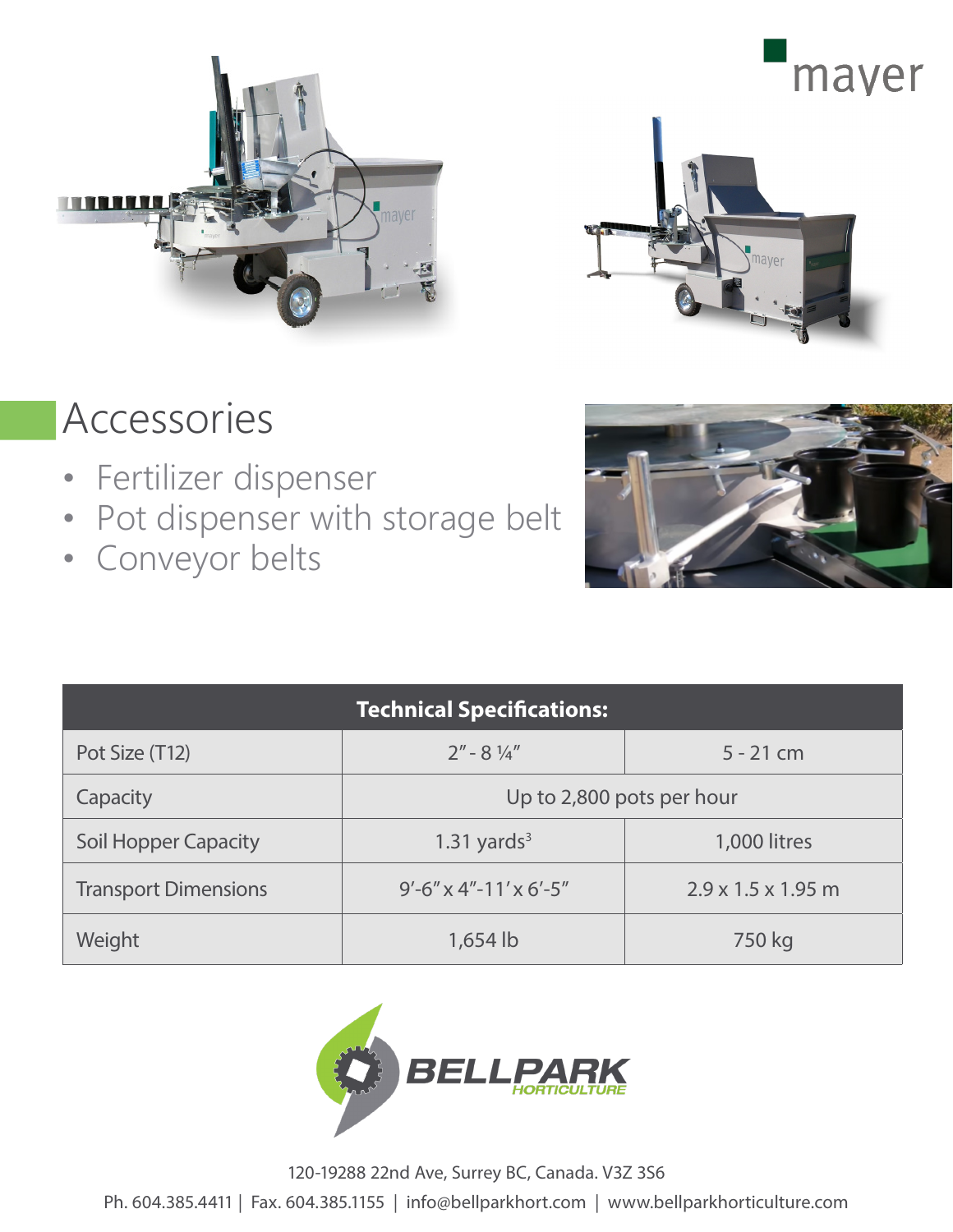



### Accessories

- Fertilizer dispenser
- Pot dispenser with storage belt
- Conveyor belts



| <b>Technical Specifications:</b> |                           |                                |
|----------------------------------|---------------------------|--------------------------------|
| Pot Size (T12)                   | $2'' - 8\frac{1}{4}$      | $5 - 21$ cm                    |
| Capacity                         | Up to 2,800 pots per hour |                                |
| <b>Soil Hopper Capacity</b>      | 1.31 yards $3$            | 1,000 litres                   |
| <b>Transport Dimensions</b>      | $9'$ -6" x 4"-11' x 6'-5" | $2.9 \times 1.5 \times 1.95$ m |
| Weight                           | 1,654 lb                  | 750 kg                         |



120-19288 22nd Ave, Surrey BC, Canada. V3Z 3S6

Ph. 604.385.4411 | Fax. 604.385.1155 | info@bellparkhort.com | www.bellparkhorticulture.com